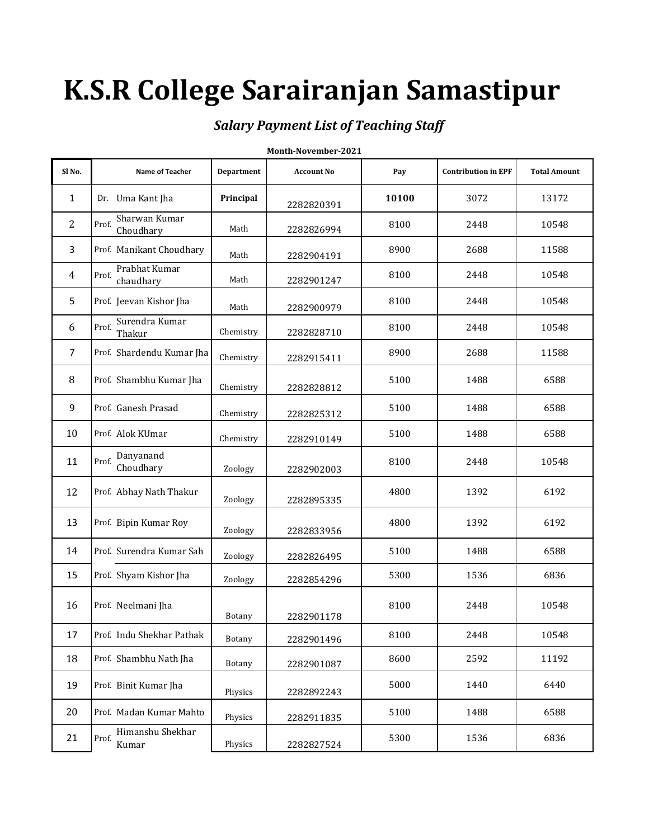# **K.S.R College Sarairanjan Samastipur**

## *Salary Payment List of Teaching Staff*

| Month-November-2021 |                                     |                   |                   |       |                            |                     |
|---------------------|-------------------------------------|-------------------|-------------------|-------|----------------------------|---------------------|
| Sl <sub>No.</sub>   | Name of Teacher                     | <b>Department</b> | <b>Account No</b> | Pay   | <b>Contribution in EPF</b> | <b>Total Amount</b> |
| 1                   | Dr. Uma Kant Jha                    | Principal         | 2282820391        | 10100 | 3072                       | 13172               |
| $\overline{2}$      | Sharwan Kumar<br>Prof.<br>Choudhary | Math              | 2282826994        | 8100  | 2448                       | 10548               |
| 3                   | Prof. Manikant Choudhary            | Math              | 2282904191        | 8900  | 2688                       | 11588               |
| 4                   | Prabhat Kumar<br>Prof.<br>chaudhary | Math              | 2282901247        | 8100  | 2448                       | 10548               |
| 5                   | Prof. Jeevan Kishor Jha             | Math              | 2282900979        | 8100  | 2448                       | 10548               |
| 6                   | Surendra Kumar<br>Prof.<br>Thakur   | Chemistry         | 2282828710        | 8100  | 2448                       | 10548               |
| 7                   | Prof. Shardendu Kumar Jha           | Chemistry         | 2282915411        | 8900  | 2688                       | 11588               |
| 8                   | Prof. Shambhu Kumar Jha             | Chemistry         | 2282828812        | 5100  | 1488                       | 6588                |
| 9                   | Prof. Ganesh Prasad                 | Chemistry         | 2282825312        | 5100  | 1488                       | 6588                |
| 10                  | Prof. Alok KUmar                    | Chemistry         | 2282910149        | 5100  | 1488                       | 6588                |
| 11                  | Danyanand<br>Prof.<br>Choudhary     | Zoology           | 2282902003        | 8100  | 2448                       | 10548               |
| 12                  | Prof. Abhay Nath Thakur             | Zoology           | 2282895335        | 4800  | 1392                       | 6192                |
| 13                  | Prof. Bipin Kumar Roy               | Zoology           | 2282833956        | 4800  | 1392                       | 6192                |
| 14                  | Prof. Surendra Kumar Sah            | Zoology           | 2282826495        | 5100  | 1488                       | 6588                |
| 15                  | Prof. Shyam Kishor Jha              | Zoology           | 2282854296        | 5300  | 1536                       | 6836                |
| 16                  | Prof. Neelmani Jha                  | <b>Botany</b>     | 2282901178        | 8100  | 2448                       | 10548               |
| 17                  | Prof. Indu Shekhar Pathak           | Botany            | 2282901496        | 8100  | 2448                       | 10548               |
| 18                  | Prof. Shambhu Nath Jha              | Botany            | 2282901087        | 8600  | 2592                       | 11192               |
| 19                  | Prof. Binit Kumar Jha               | Physics           | 2282892243        | 5000  | 1440                       | 6440                |
| 20                  | Prof. Madan Kumar Mahto             | Physics           | 2282911835        | 5100  | 1488                       | 6588                |
| 21                  | Himanshu Shekhar<br>Prof.<br>Kumar  | Physics           | 2282827524        | 5300  | 1536                       | 6836                |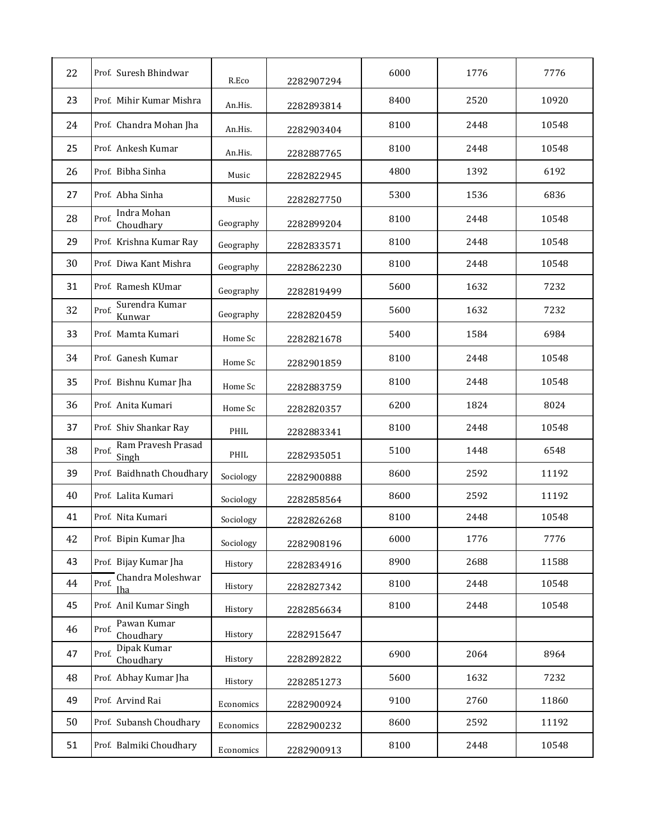| 22 | Prof. Suresh Bhindwar                    | R.Eco     | 2282907294 | 6000 | 1776 | 7776  |
|----|------------------------------------------|-----------|------------|------|------|-------|
| 23 | Prof. Mihir Kumar Mishra                 | An.His.   | 2282893814 | 8400 | 2520 | 10920 |
| 24 | Prof. Chandra Mohan Jha                  | An.His.   | 2282903404 | 8100 | 2448 | 10548 |
| 25 | Prof. Ankesh Kumar                       | An.His.   | 2282887765 | 8100 | 2448 | 10548 |
| 26 | Prof. Bibha Sinha                        | Music     | 2282822945 | 4800 | 1392 | 6192  |
| 27 | Prof. Abha Sinha                         | Music     | 2282827750 | 5300 | 1536 | 6836  |
| 28 | Indra Mohan<br>Prof.<br>Choudhary        | Geography | 2282899204 | 8100 | 2448 | 10548 |
| 29 | Prof. Krishna Kumar Ray                  | Geography | 2282833571 | 8100 | 2448 | 10548 |
| 30 | Prof. Diwa Kant Mishra                   | Geography | 2282862230 | 8100 | 2448 | 10548 |
| 31 | Prof. Ramesh KUmar                       | Geography | 2282819499 | 5600 | 1632 | 7232  |
| 32 | Surendra Kumar<br>Prof.<br>Kunwar        | Geography | 2282820459 | 5600 | 1632 | 7232  |
| 33 | Prof. Mamta Kumari                       | Home Sc   | 2282821678 | 5400 | 1584 | 6984  |
| 34 | Prof. Ganesh Kumar                       | Home Sc   | 2282901859 | 8100 | 2448 | 10548 |
| 35 | Prof. Bishnu Kumar Jha                   | Home Sc   | 2282883759 | 8100 | 2448 | 10548 |
| 36 | Prof. Anita Kumari                       | Home Sc   | 2282820357 | 6200 | 1824 | 8024  |
| 37 | Prof. Shiv Shankar Ray                   | PHIL      | 2282883341 | 8100 | 2448 | 10548 |
| 38 | Ram Pravesh Prasad<br>Prof.<br>Singh     | PHIL      | 2282935051 | 5100 | 1448 | 6548  |
| 39 | Prof. Baidhnath Choudhary                | Sociology | 2282900888 | 8600 | 2592 | 11192 |
| 40 | Prof. Lalita Kumari                      | Sociology | 2282858564 | 8600 | 2592 | 11192 |
| 41 | Prof. Nita Kumari                        | Sociology | 2282826268 | 8100 | 2448 | 10548 |
| 42 | Prof. Bipin Kumar Jha                    | Sociology | 2282908196 | 6000 | 1776 | 7776  |
| 43 | Prof. Bijay Kumar Jha                    | History   | 2282834916 | 8900 | 2688 | 11588 |
| 44 | Chandra Moleshwar<br>Prof.<br><b>Iha</b> | History   | 2282827342 | 8100 | 2448 | 10548 |
| 45 | Prof. Anil Kumar Singh                   | History   | 2282856634 | 8100 | 2448 | 10548 |
| 46 | Pawan Kumar<br>Prof.<br>Choudhary        | History   | 2282915647 |      |      |       |
| 47 | Dipak Kumar<br>Prof.<br>Choudhary        | History   | 2282892822 | 6900 | 2064 | 8964  |
| 48 | Prof. Abhay Kumar Jha                    | History   | 2282851273 | 5600 | 1632 | 7232  |
| 49 | Prof. Arvind Rai                         | Economics | 2282900924 | 9100 | 2760 | 11860 |
| 50 | Prof. Subansh Choudhary                  | Economics | 2282900232 | 8600 | 2592 | 11192 |
| 51 | Prof. Balmiki Choudhary                  | Economics | 2282900913 | 8100 | 2448 | 10548 |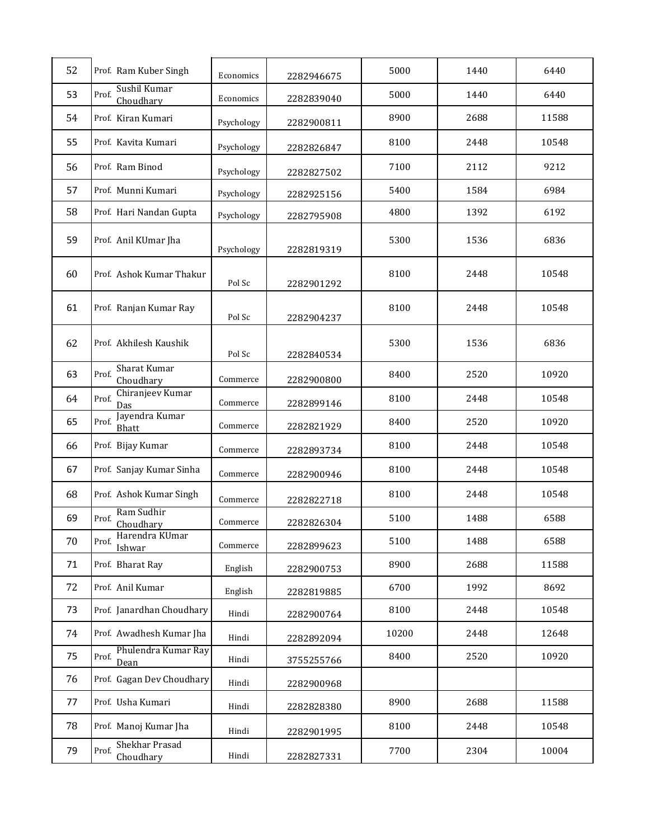| 52 | Prof. Ram Kuber Singh                   | Economics  | 2282946675 | 5000  | 1440 | 6440  |
|----|-----------------------------------------|------------|------------|-------|------|-------|
| 53 | Sushil Kumar<br>Prof.<br>Choudhary      | Economics  | 2282839040 | 5000  | 1440 | 6440  |
| 54 | Prof. Kiran Kumari                      | Psychology | 2282900811 | 8900  | 2688 | 11588 |
| 55 | Prof. Kavita Kumari                     | Psychology | 2282826847 | 8100  | 2448 | 10548 |
| 56 | Prof. Ram Binod                         | Psychology | 2282827502 | 7100  | 2112 | 9212  |
| 57 | Prof. Munni Kumari                      | Psychology | 2282925156 | 5400  | 1584 | 6984  |
| 58 | Prof. Hari Nandan Gupta                 | Psychology | 2282795908 | 4800  | 1392 | 6192  |
| 59 | Prof. Anil KUmar Jha                    | Psychology | 2282819319 | 5300  | 1536 | 6836  |
| 60 | Prof. Ashok Kumar Thakur                | Pol Sc     | 2282901292 | 8100  | 2448 | 10548 |
| 61 | Prof. Ranjan Kumar Ray                  | Pol Sc     | 2282904237 | 8100  | 2448 | 10548 |
| 62 | Prof. Akhilesh Kaushik                  | Pol Sc     | 2282840534 | 5300  | 1536 | 6836  |
| 63 | Sharat Kumar<br>Prof.<br>Choudhary      | Commerce   | 2282900800 | 8400  | 2520 | 10920 |
| 64 | Chiranjeev Kumar<br>Prof.<br>Das        | Commerce   | 2282899146 | 8100  | 2448 | 10548 |
| 65 | Jayendra Kumar<br>Prof.<br><b>Bhatt</b> | Commerce   | 2282821929 | 8400  | 2520 | 10920 |
| 66 | Prof. Bijay Kumar                       | Commerce   | 2282893734 | 8100  | 2448 | 10548 |
| 67 | Prof. Sanjay Kumar Sinha                | Commerce   | 2282900946 | 8100  | 2448 | 10548 |
| 68 | Prof. Ashok Kumar Singh                 | Commerce   | 2282822718 | 8100  | 2448 | 10548 |
| 69 | Ram Sudhir<br>Prof.<br>Choudhary        | Commerce   | 2282826304 | 5100  | 1488 | 6588  |
| 70 | Harendra KUmar<br>Prof.<br>Ishwar       | Commerce   | 2282899623 | 5100  | 1488 | 6588  |
| 71 | Prof. Bharat Ray                        | English    | 2282900753 | 8900  | 2688 | 11588 |
| 72 | Prof. Anil Kumar                        | English    | 2282819885 | 6700  | 1992 | 8692  |
| 73 | Prof. Janardhan Choudhary               | Hindi      | 2282900764 | 8100  | 2448 | 10548 |
| 74 | Prof. Awadhesh Kumar Jha                | Hindi      | 2282892094 | 10200 | 2448 | 12648 |
| 75 | Phulendra Kumar Ray<br>Prof.<br>Dean    | Hindi      | 3755255766 | 8400  | 2520 | 10920 |
| 76 | Prof. Gagan Dev Choudhary               | Hindi      | 2282900968 |       |      |       |
| 77 | Prof. Usha Kumari                       | Hindi      | 2282828380 | 8900  | 2688 | 11588 |
| 78 | Prof. Manoj Kumar Jha                   | Hindi      | 2282901995 | 8100  | 2448 | 10548 |
| 79 | Shekhar Prasad<br>Prof.<br>Choudhary    | Hindi      | 2282827331 | 7700  | 2304 | 10004 |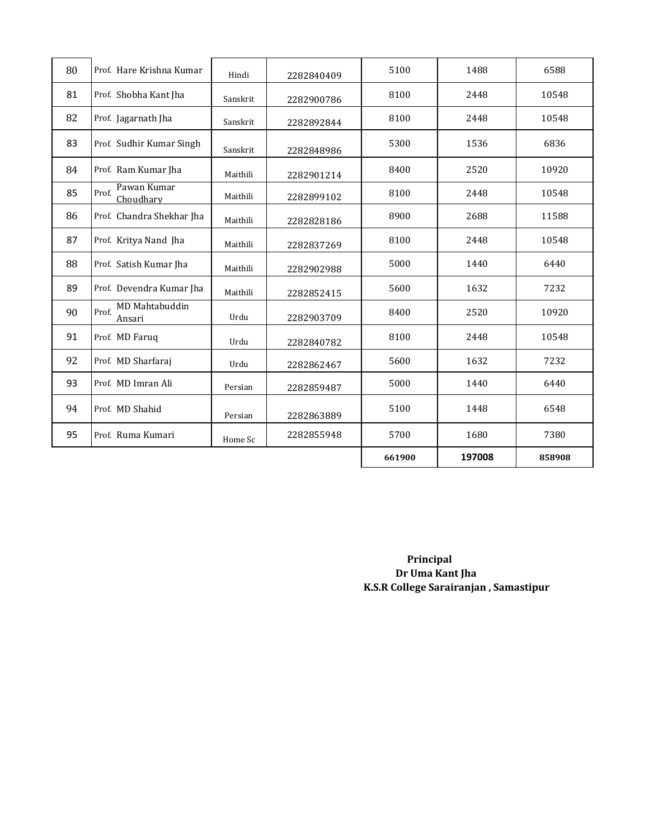| 80 | Prof. Hare Krishna Kumar          | Hindi    | 2282840409 | 5100   | 1488   | 6588   |
|----|-----------------------------------|----------|------------|--------|--------|--------|
| 81 | Prof. Shobha Kant Jha             | Sanskrit | 2282900786 | 8100   | 2448   | 10548  |
| 82 | Prof. Jagarnath Jha               | Sanskrit | 2282892844 | 8100   | 2448   | 10548  |
| 83 | Prof. Sudhir Kumar Singh          | Sanskrit | 2282848986 | 5300   | 1536   | 6836   |
| 84 | Prof. Ram Kumar Jha               | Maithili | 2282901214 | 8400   | 2520   | 10920  |
| 85 | Pawan Kumar<br>Prof.<br>Choudhary | Maithili | 2282899102 | 8100   | 2448   | 10548  |
| 86 | Prof. Chandra Shekhar Jha         | Maithili | 2282828186 | 8900   | 2688   | 11588  |
| 87 | Prof. Kritya Nand Jha             | Maithili | 2282837269 | 8100   | 2448   | 10548  |
| 88 | Prof. Satish Kumar Jha            | Maithili | 2282902988 | 5000   | 1440   | 6440   |
| 89 | Prof. Devendra Kumar Jha          | Maithili | 2282852415 | 5600   | 1632   | 7232   |
| 90 | MD Mahtabuddin<br>Prof.<br>Ansari | Urdu     | 2282903709 | 8400   | 2520   | 10920  |
| 91 | Prof. MD Faruq                    | Urdu     | 2282840782 | 8100   | 2448   | 10548  |
| 92 | Prof. MD Sharfaraj                | Urdu     | 2282862467 | 5600   | 1632   | 7232   |
| 93 | Prof. MD Imran Ali                | Persian  | 2282859487 | 5000   | 1440   | 6440   |
| 94 | Prof. MD Shahid                   | Persian  | 2282863889 | 5100   | 1448   | 6548   |
| 95 | Prof. Ruma Kumari                 | Home Sc  | 2282855948 | 5700   | 1680   | 7380   |
|    |                                   |          |            | 661900 | 197008 | 858908 |

 **Principal Dr Uma Kant Jha K.S.R College Sarairanjan , Samastipur**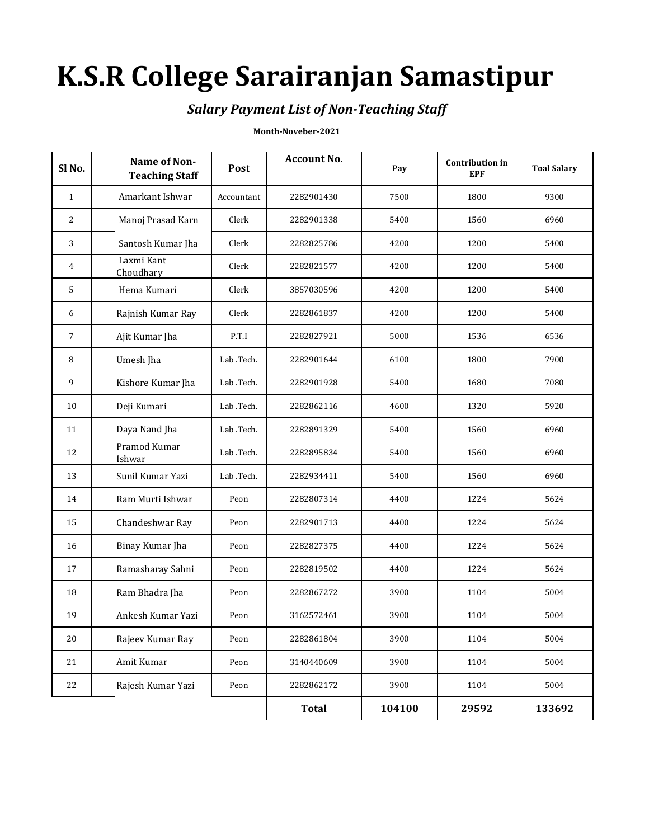# **K.S.R College Sarairanjan Samastipur**

### *Salary Payment List of Non-Teaching Staff*

#### **Month-Noveber-2021**

| Sl <sub>No.</sub> | Name of Non-<br><b>Teaching Staff</b> | Post       | <b>Account No.</b> | Pay    | <b>Contribution</b> in<br><b>EPF</b> | <b>Toal Salary</b> |
|-------------------|---------------------------------------|------------|--------------------|--------|--------------------------------------|--------------------|
| $\mathbf{1}$      | Amarkant Ishwar                       | Accountant | 2282901430         | 7500   | 1800                                 | 9300               |
| 2                 | Manoj Prasad Karn                     | Clerk      | 2282901338         | 5400   | 1560                                 | 6960               |
| 3                 | Santosh Kumar Jha                     | Clerk      | 2282825786         | 4200   | 1200                                 | 5400               |
| 4                 | Laxmi Kant<br>Choudhary               | Clerk      | 2282821577         | 4200   | 1200                                 | 5400               |
| 5                 | Hema Kumari                           | Clerk      | 3857030596         | 4200   | 1200                                 | 5400               |
| 6                 | Rajnish Kumar Ray                     | Clerk      | 2282861837         | 4200   | 1200                                 | 5400               |
| 7                 | Ajit Kumar Jha                        | P.T.I      | 2282827921         | 5000   | 1536                                 | 6536               |
| 8                 | Umesh Jha                             | Lab .Tech. | 2282901644         | 6100   | 1800                                 | 7900               |
| 9                 | Kishore Kumar Jha                     | Lab .Tech. | 2282901928         | 5400   | 1680                                 | 7080               |
| 10                | Deji Kumari                           | Lab .Tech. | 2282862116         | 4600   | 1320                                 | 5920               |
| 11                | Daya Nand Jha                         | Lab .Tech. | 2282891329         | 5400   | 1560                                 | 6960               |
| 12                | Pramod Kumar<br>Ishwar                | Lab .Tech. | 2282895834         | 5400   | 1560                                 | 6960               |
| 13                | Sunil Kumar Yazi                      | Lab .Tech. | 2282934411         | 5400   | 1560                                 | 6960               |
| 14                | Ram Murti Ishwar                      | Peon       | 2282807314         | 4400   | 1224                                 | 5624               |
| 15                | Chandeshwar Ray                       | Peon       | 2282901713         | 4400   | 1224                                 | 5624               |
| 16                | Binay Kumar Jha                       | Peon       | 2282827375         | 4400   | 1224                                 | 5624               |
| 17                | Ramasharay Sahni                      | Peon       | 2282819502         | 4400   | 1224                                 | 5624               |
| 18                | Ram Bhadra Jha                        | Peon       | 2282867272         | 3900   | 1104                                 | 5004               |
| 19                | Ankesh Kumar Yazi                     | Peon       | 3162572461         | 3900   | 1104                                 | 5004               |
| 20                | Rajeev Kumar Ray                      | Peon       | 2282861804         | 3900   | 1104                                 | 5004               |
| 21                | Amit Kumar                            | Peon       | 3140440609         | 3900   | 1104                                 | 5004               |
| 22                | Rajesh Kumar Yazi                     | Peon       | 2282862172         | 3900   | 1104                                 | 5004               |
|                   |                                       |            | <b>Total</b>       | 104100 | 29592                                | 133692             |